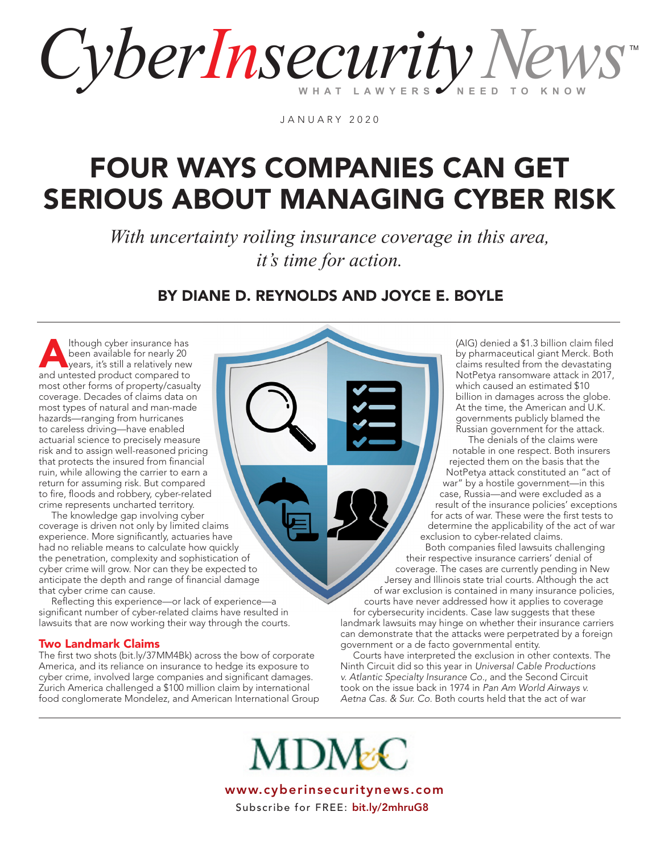CyberInsecurity News TM

JANUARY 2020

### FOUR WAYS COMPANIES CAN GET SERIOUS ABOUT MANAGING CYBER RISK

*With uncertainty roiling insurance coverage in this area, it's time for action.*

BY DIANE D. REYNOLDS AND JOYCE E. BOYLE

Though cyber insurance has<br>
been available for nearly 20<br>
years, it's still a relatively new<br>
and unterted product compared to been available for nearly 20 and untested product compared to most other forms of property/casualty coverage. Decades of claims data on most types of natural and man-made hazards—ranging from hurricanes to careless driving—have enabled actuarial science to precisely measure risk and to assign well-reasoned pricing that protects the insured from financial ruin, while allowing the carrier to earn a return for assuming risk. But compared to fire, floods and robbery, cyber-related crime represents uncharted territory.

 The knowledge gap involving cyber coverage is driven not only by limited claims experience. More significantly, actuaries have had no reliable means to calculate how quickly the penetration, complexity and sophistication of cyber crime will grow. Nor can they be expected to anticipate the depth and range of financial damage that cyber crime can cause.

 Reflecting this experience—or lack of experience—a significant number of cyber-related claims have resulted in lawsuits that are now working their way through the courts.

#### Two Landmark Claims

The first two shots [\(bit.ly/37MM4Bk\)](https://www.cyberinsecuritynews.com/insurance-war) across the bow of corporate America, and its reliance on insurance to hedge its exposure to cyber crime, involved large companies and significant damages. Zurich America challenged a \$100 million claim by international food conglomerate Mondelez, and American International Group

(AIG) denied a \$1.3 billion claim filed by pharmaceutical giant Merck. Both claims resulted from the devastating NotPetya ransomware attack in 2017, which caused an estimated \$10 billion in damages across the globe. At the time, the American and U.K. governments publicly blamed the Russian government for the attack.

 The denials of the claims were notable in one respect. Both insurers rejected them on the basis that the NotPetya attack constituted an "act of war" by a hostile government—in this case, Russia—and were excluded as a result of the insurance policies' exceptions for acts of war. These were the first tests to determine the applicability of the act of war exclusion to cyber-related claims.

 Both companies filed lawsuits challenging their respective insurance carriers' denial of coverage. The cases are currently pending in New Jersey and Illinois state trial courts. Although the act of war exclusion is contained in many insurance policies, courts have never addressed how it applies to coverage for cybersecurity incidents. Case law suggests that these landmark lawsuits may hinge on whether their insurance carriers can demonstrate that the attacks were perpetrated by a foreign government or a de facto governmental entity.

 Courts have interpreted the exclusion in other contexts. The Ninth Circuit did so this year in *Universal Cable Productions v. Atlantic Specialty Insurance Co.*, and the Second Circuit took on the issue back in 1974 in *Pan Am World Airways v. Aetna Cas. & Sur. Co.* Both courts held that the act of war

**MDM&C**  www.cyberinsecuritynews.comSubscribe for FREE: [bit.ly/2mhruG8](https://www.cyberinsecuritynews.com/subscribe-for-free)